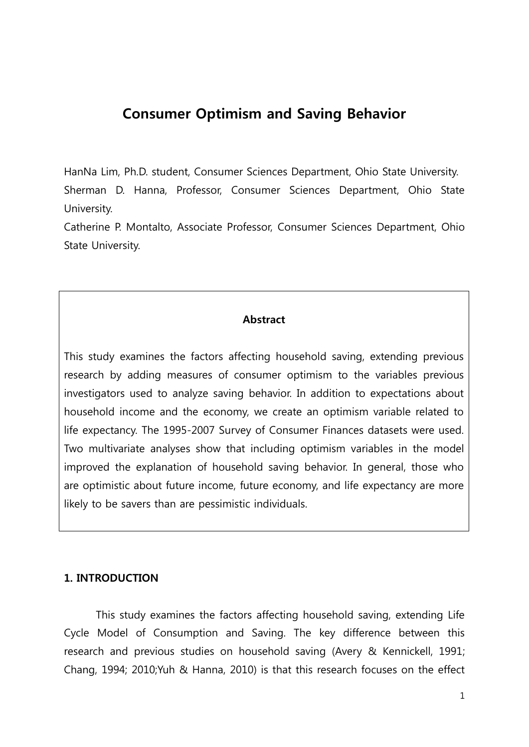## **Consumer Optimism and Saving Behavior**

HanNa Lim, Ph.D. student, Consumer Sciences Department, Ohio State University. Sherman D. Hanna, Professor, Consumer Sciences Department, Ohio State University.

Catherine P. Montalto, Associate Professor, Consumer Sciences Department, Ohio State University.

#### **Abstract**

This study examines the factors affecting household saving, extending previous research by adding measures of consumer optimism to the variables previous investigators used to analyze saving behavior. In addition to expectations about household income and the economy, we create an optimism variable related to life expectancy. The 1995-2007 Survey of Consumer Finances datasets were used. Two multivariate analyses show that including optimism variables in the model improved the explanation of household saving behavior. In general, those who are optimistic about future income, future economy, and life expectancy are more likely to be savers than are pessimistic individuals.

#### **1. INTRODUCTION**

This study examines the factors affecting household saving, extending Life Cycle Model of Consumption and Saving. The key difference between this research and previous studies on household saving (Avery & Kennickell, 1991; Chang, 1994; 2010;Yuh & Hanna, 2010) is that this research focuses on the effect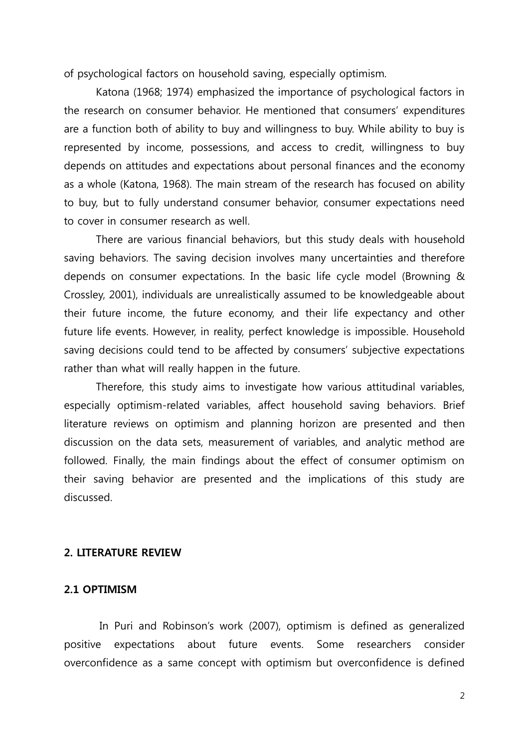of psychological factors on household saving, especially optimism.

Katona (1968; 1974) emphasized the importance of psychological factors in the research on consumer behavior. He mentioned that consumers' expenditures are a function both of ability to buy and willingness to buy. While ability to buy is represented by income, possessions, and access to credit, willingness to buy depends on attitudes and expectations about personal finances and the economy as a whole (Katona, 1968). The main stream of the research has focused on ability to buy, but to fully understand consumer behavior, consumer expectations need to cover in consumer research as well.

There are various financial behaviors, but this study deals with household saving behaviors. The saving decision involves many uncertainties and therefore depends on consumer expectations. In the basic life cycle model (Browning & Crossley, 2001), individuals are unrealistically assumed to be knowledgeable about their future income, the future economy, and their life expectancy and other future life events. However, in reality, perfect knowledge is impossible. Household saving decisions could tend to be affected by consumers' subjective expectations rather than what will really happen in the future.

Therefore, this study aims to investigate how various attitudinal variables, especially optimism-related variables, affect household saving behaviors. Brief literature reviews on optimism and planning horizon are presented and then discussion on the data sets, measurement of variables, and analytic method are followed. Finally, the main findings about the effect of consumer optimism on their saving behavior are presented and the implications of this study are discussed.

## **2. LITERATURE REVIEW**

## **2.1 OPTIMISM**

In Puri and Robinson's work (2007), optimism is defined as generalized positive expectations about future events. Some researchers consider overconfidence as a same concept with optimism but overconfidence is defined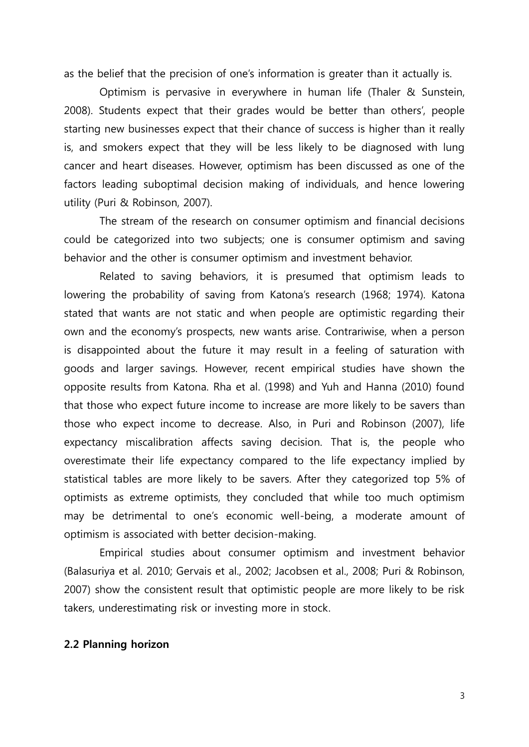as the belief that the precision of one's information is greater than it actually is.

Optimism is pervasive in everywhere in human life (Thaler & Sunstein, 2008). Students expect that their grades would be better than others', people starting new businesses expect that their chance of success is higher than it really is, and smokers expect that they will be less likely to be diagnosed with lung cancer and heart diseases. However, optimism has been discussed as one of the factors leading suboptimal decision making of individuals, and hence lowering utility (Puri & Robinson, 2007).

The stream of the research on consumer optimism and financial decisions could be categorized into two subjects; one is consumer optimism and saving behavior and the other is consumer optimism and investment behavior.

Related to saving behaviors, it is presumed that optimism leads to lowering the probability of saving from Katona's research (1968; 1974). Katona stated that wants are not static and when people are optimistic regarding their own and the economy's prospects, new wants arise. Contrariwise, when a person is disappointed about the future it may result in a feeling of saturation with goods and larger savings. However, recent empirical studies have shown the opposite results from Katona. Rha et al. (1998) and Yuh and Hanna (2010) found that those who expect future income to increase are more likely to be savers than those who expect income to decrease. Also, in Puri and Robinson (2007), life expectancy miscalibration affects saving decision. That is, the people who overestimate their life expectancy compared to the life expectancy implied by statistical tables are more likely to be savers. After they categorized top 5% of optimists as extreme optimists, they concluded that while too much optimism may be detrimental to one's economic well-being, a moderate amount of optimism is associated with better decision-making.

Empirical studies about consumer optimism and investment behavior (Balasuriya et al. 2010; Gervais et al., 2002; Jacobsen et al., 2008; Puri & Robinson, 2007) show the consistent result that optimistic people are more likely to be risk takers, underestimating risk or investing more in stock.

## **2.2 Planning horizon**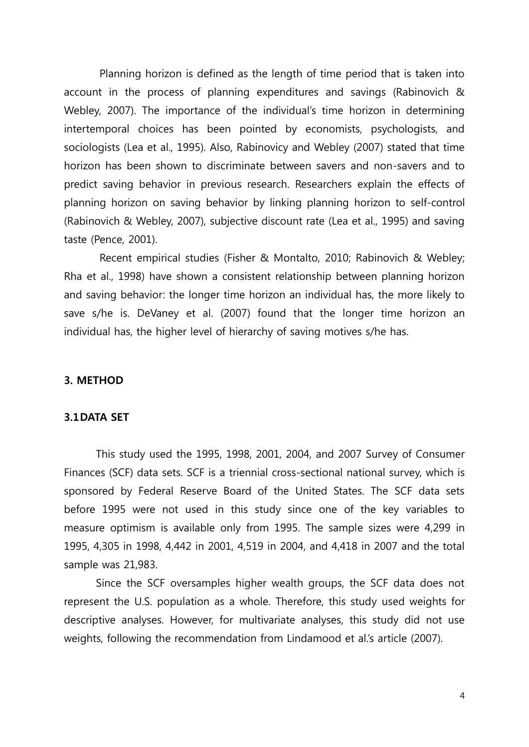Planning horizon is defined as the length of time period that is taken into account in the process of planning expenditures and savings (Rabinovich & Webley, 2007). The importance of the individual's time horizon in determining intertemporal choices has been pointed by economists, psychologists, and sociologists (Lea et al., 1995). Also, Rabinovicy and Webley (2007) stated that time horizon has been shown to discriminate between savers and non-savers and to predict saving behavior in previous research. Researchers explain the effects of planning horizon on saving behavior by linking planning horizon to self-control (Rabinovich & Webley, 2007), subjective discount rate (Lea et al., 1995) and saving taste (Pence, 2001).

Recent empirical studies (Fisher & Montalto, 2010; Rabinovich & Webley; Rha et al., 1998) have shown a consistent relationship between planning horizon and saving behavior: the longer time horizon an individual has, the more likely to save s/he is. DeVaney et al. (2007) found that the longer time horizon an individual has, the higher level of hierarchy of saving motives s/he has.

#### **3. METHOD**

#### **3.1DATA SET**

This study used the 1995, 1998, 2001, 2004, and 2007 Survey of Consumer Finances (SCF) data sets. SCF is a triennial cross-sectional national survey, which is sponsored by Federal Reserve Board of the United States. The SCF data sets before 1995 were not used in this study since one of the key variables to measure optimism is available only from 1995. The sample sizes were 4,299 in 1995, 4,305 in 1998, 4,442 in 2001, 4,519 in 2004, and 4,418 in 2007 and the total sample was 21,983.

Since the SCF oversamples higher wealth groups, the SCF data does not represent the U.S. population as a whole. Therefore, this study used weights for descriptive analyses. However, for multivariate analyses, this study did not use weights, following the recommendation from Lindamood et al.'s article (2007).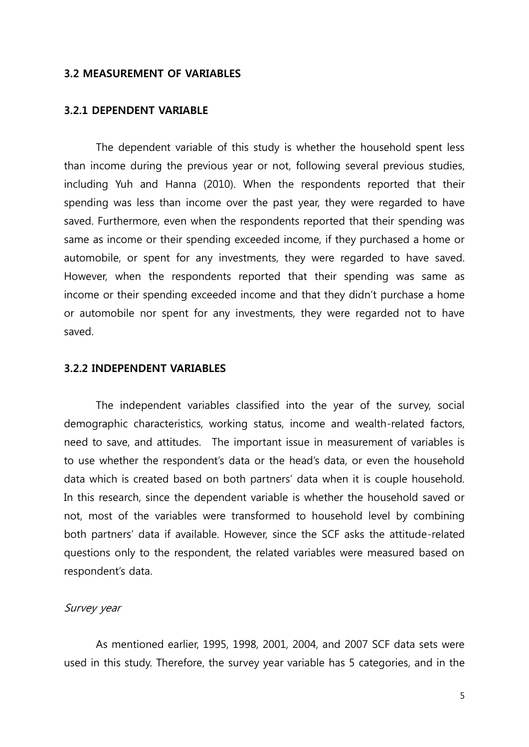#### **3.2 MEASUREMENT OF VARIABLES**

#### **3.2.1 DEPENDENT VARIABLE**

The dependent variable of this study is whether the household spent less than income during the previous year or not, following several previous studies, including Yuh and Hanna (2010). When the respondents reported that their spending was less than income over the past year, they were regarded to have saved. Furthermore, even when the respondents reported that their spending was same as income or their spending exceeded income, if they purchased a home or automobile, or spent for any investments, they were regarded to have saved. However, when the respondents reported that their spending was same as income or their spending exceeded income and that they didn't purchase a home or automobile nor spent for any investments, they were regarded not to have saved.

#### **3.2.2 INDEPENDENT VARIABLES**

The independent variables classified into the year of the survey, social demographic characteristics, working status, income and wealth-related factors, need to save, and attitudes. The important issue in measurement of variables is to use whether the respondent's data or the head's data, or even the household data which is created based on both partners' data when it is couple household. In this research, since the dependent variable is whether the household saved or not, most of the variables were transformed to household level by combining both partners' data if available. However, since the SCF asks the attitude-related questions only to the respondent, the related variables were measured based on respondent's data.

## Survey year

As mentioned earlier, 1995, 1998, 2001, 2004, and 2007 SCF data sets were used in this study. Therefore, the survey year variable has 5 categories, and in the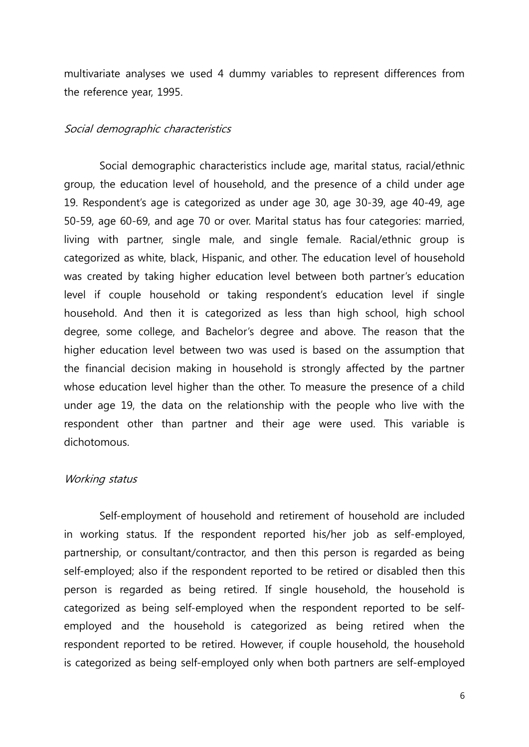multivariate analyses we used 4 dummy variables to represent differences from the reference year, 1995.

#### Social demographic characteristics

Social demographic characteristics include age, marital status, racial/ethnic group, the education level of household, and the presence of a child under age 19. Respondent's age is categorized as under age 30, age 30-39, age 40-49, age 50-59, age 60-69, and age 70 or over. Marital status has four categories: married, living with partner, single male, and single female. Racial/ethnic group is categorized as white, black, Hispanic, and other. The education level of household was created by taking higher education level between both partner's education level if couple household or taking respondent's education level if single household. And then it is categorized as less than high school, high school degree, some college, and Bachelor's degree and above. The reason that the higher education level between two was used is based on the assumption that the financial decision making in household is strongly affected by the partner whose education level higher than the other. To measure the presence of a child under age 19, the data on the relationship with the people who live with the respondent other than partner and their age were used. This variable is dichotomous.

#### Working status

Self-employment of household and retirement of household are included in working status. If the respondent reported his/her job as self-employed, partnership, or consultant/contractor, and then this person is regarded as being self-employed; also if the respondent reported to be retired or disabled then this person is regarded as being retired. If single household, the household is categorized as being self-employed when the respondent reported to be selfemployed and the household is categorized as being retired when the respondent reported to be retired. However, if couple household, the household is categorized as being self-employed only when both partners are self-employed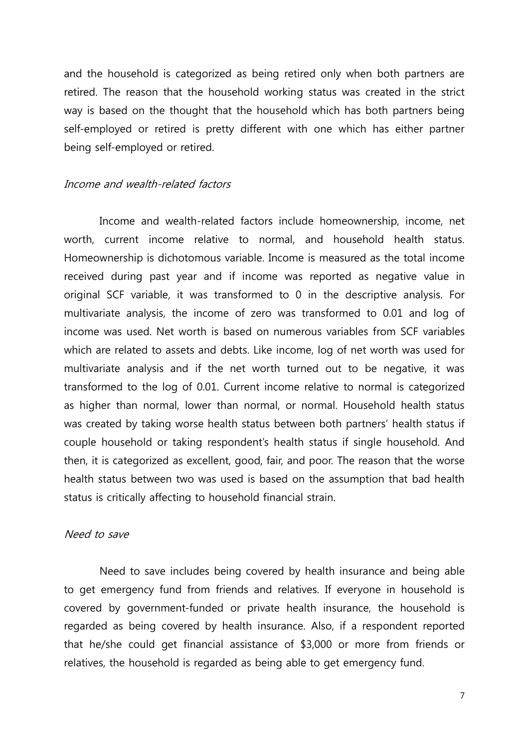and the household is categorized as being retired only when both partners are retired. The reason that the household working status was created in the strict way is based on the thought that the household which has both partners being self-employed or retired is pretty different with one which has either partner being self-employed or retired.

## Income and wealth-related factors

Income and wealth-related factors include homeownership, income, net worth, current income relative to normal, and household health status. Homeownership is dichotomous variable. Income is measured as the total income received during past year and if income was reported as negative value in original SCF variable, it was transformed to 0 in the descriptive analysis. For multivariate analysis, the income of zero was transformed to 0.01 and log of income was used. Net worth is based on numerous variables from SCF variables which are related to assets and debts. Like income, log of net worth was used for multivariate analysis and if the net worth turned out to be negative, it was transformed to the log of 0.01. Current income relative to normal is categorized as higher than normal, lower than normal, or normal. Household health status was created by taking worse health status between both partners' health status if couple household or taking respondent's health status if single household. And then, it is categorized as excellent, good, fair, and poor. The reason that the worse health status between two was used is based on the assumption that bad health status is critically affecting to household financial strain.

#### Need to save

Need to save includes being covered by health insurance and being able to get emergency fund from friends and relatives. If everyone in household is covered by government-funded or private health insurance, the household is regarded as being covered by health insurance. Also, if a respondent reported that he/she could get financial assistance of \$3,000 or more from friends or relatives, the household is regarded as being able to get emergency fund.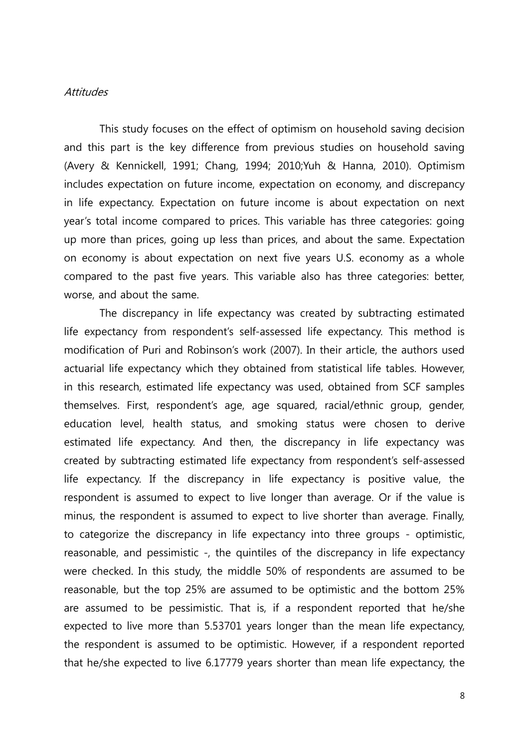### **Attitudes**

This study focuses on the effect of optimism on household saving decision and this part is the key difference from previous studies on household saving (Avery & Kennickell, 1991; Chang, 1994; 2010;Yuh & Hanna, 2010). Optimism includes expectation on future income, expectation on economy, and discrepancy in life expectancy. Expectation on future income is about expectation on next year's total income compared to prices. This variable has three categories: going up more than prices, going up less than prices, and about the same. Expectation on economy is about expectation on next five years U.S. economy as a whole compared to the past five years. This variable also has three categories: better, worse, and about the same.

The discrepancy in life expectancy was created by subtracting estimated life expectancy from respondent's self-assessed life expectancy. This method is modification of Puri and Robinson's work (2007). In their article, the authors used actuarial life expectancy which they obtained from statistical life tables. However, in this research, estimated life expectancy was used, obtained from SCF samples themselves. First, respondent's age, age squared, racial/ethnic group, gender, education level, health status, and smoking status were chosen to derive estimated life expectancy. And then, the discrepancy in life expectancy was created by subtracting estimated life expectancy from respondent's self-assessed life expectancy. If the discrepancy in life expectancy is positive value, the respondent is assumed to expect to live longer than average. Or if the value is minus, the respondent is assumed to expect to live shorter than average. Finally, to categorize the discrepancy in life expectancy into three groups - optimistic, reasonable, and pessimistic -, the quintiles of the discrepancy in life expectancy were checked. In this study, the middle 50% of respondents are assumed to be reasonable, but the top 25% are assumed to be optimistic and the bottom 25% are assumed to be pessimistic. That is, if a respondent reported that he/she expected to live more than 5.53701 years longer than the mean life expectancy, the respondent is assumed to be optimistic. However, if a respondent reported that he/she expected to live 6.17779 years shorter than mean life expectancy, the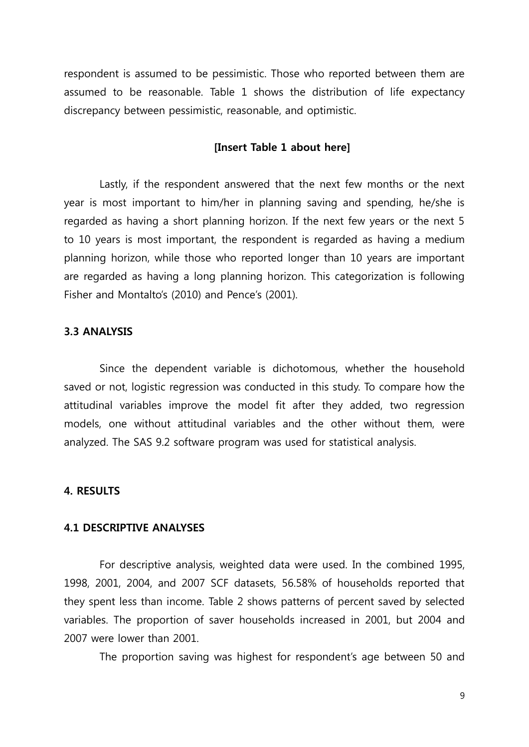respondent is assumed to be pessimistic. Those who reported between them are assumed to be reasonable. Table 1 shows the distribution of life expectancy discrepancy between pessimistic, reasonable, and optimistic.

#### **[Insert Table 1 about here]**

Lastly, if the respondent answered that the next few months or the next year is most important to him/her in planning saving and spending, he/she is regarded as having a short planning horizon. If the next few years or the next 5 to 10 years is most important, the respondent is regarded as having a medium planning horizon, while those who reported longer than 10 years are important are regarded as having a long planning horizon. This categorization is following Fisher and Montalto's (2010) and Pence's (2001).

### **3.3 ANALYSIS**

Since the dependent variable is dichotomous, whether the household saved or not, logistic regression was conducted in this study. To compare how the attitudinal variables improve the model fit after they added, two regression models, one without attitudinal variables and the other without them, were analyzed. The SAS 9.2 software program was used for statistical analysis.

#### **4. RESULTS**

#### **4.1 DESCRIPTIVE ANALYSES**

For descriptive analysis, weighted data were used. In the combined 1995, 1998, 2001, 2004, and 2007 SCF datasets, 56.58% of households reported that they spent less than income. Table 2 shows patterns of percent saved by selected variables. The proportion of saver households increased in 2001, but 2004 and 2007 were lower than 2001.

The proportion saving was highest for respondent's age between 50 and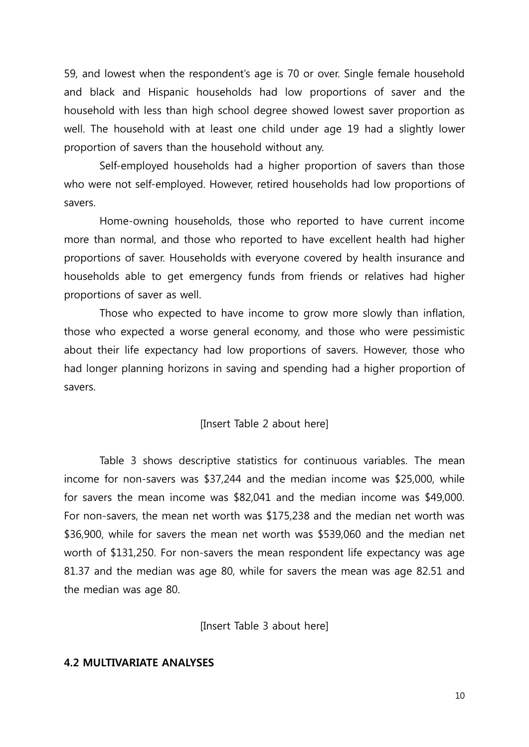59, and lowest when the respondent's age is 70 or over. Single female household and black and Hispanic households had low proportions of saver and the household with less than high school degree showed lowest saver proportion as well. The household with at least one child under age 19 had a slightly lower proportion of savers than the household without any.

Self-employed households had a higher proportion of savers than those who were not self-employed. However, retired households had low proportions of savers.

Home-owning households, those who reported to have current income more than normal, and those who reported to have excellent health had higher proportions of saver. Households with everyone covered by health insurance and households able to get emergency funds from friends or relatives had higher proportions of saver as well.

Those who expected to have income to grow more slowly than inflation, those who expected a worse general economy, and those who were pessimistic about their life expectancy had low proportions of savers. However, those who had longer planning horizons in saving and spending had a higher proportion of savers.

### [Insert Table 2 about here]

Table 3 shows descriptive statistics for continuous variables. The mean income for non-savers was \$37,244 and the median income was \$25,000, while for savers the mean income was \$82,041 and the median income was \$49,000. For non-savers, the mean net worth was \$175,238 and the median net worth was \$36,900, while for savers the mean net worth was \$539,060 and the median net worth of \$131,250. For non-savers the mean respondent life expectancy was age 81.37 and the median was age 80, while for savers the mean was age 82.51 and the median was age 80.

[Insert Table 3 about here]

#### **4.2 MULTIVARIATE ANALYSES**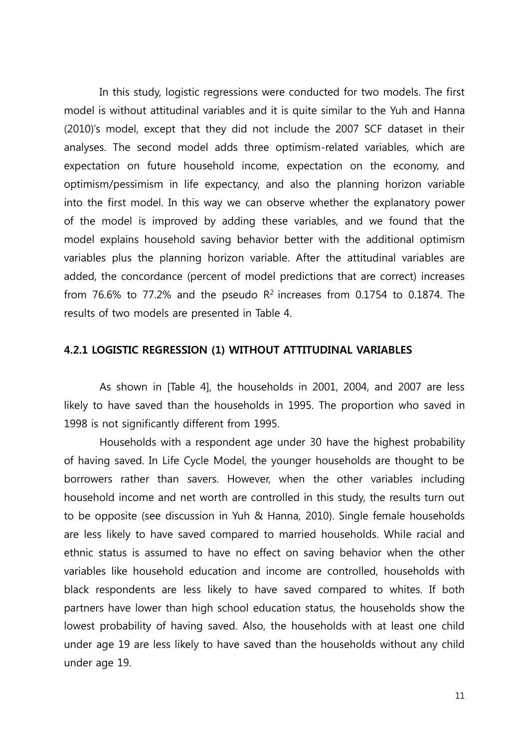In this study, logistic regressions were conducted for two models. The first model is without attitudinal variables and it is quite similar to the Yuh and Hanna (2010)'s model, except that they did not include the 2007 SCF dataset in their analyses. The second model adds three optimism-related variables, which are expectation on future household income, expectation on the economy, and optimism/pessimism in life expectancy, and also the planning horizon variable into the first model. In this way we can observe whether the explanatory power of the model is improved by adding these variables, and we found that the model explains household saving behavior better with the additional optimism variables plus the planning horizon variable. After the attitudinal variables are added, the concordance (percent of model predictions that are correct) increases from 76.6% to 77.2% and the pseudo  $R^2$  increases from 0.1754 to 0.1874. The results of two models are presented in Table 4.

### **4.2.1 LOGISTIC REGRESSION (1) WITHOUT ATTITUDINAL VARIABLES**

As shown in [Table 4], the households in 2001, 2004, and 2007 are less likely to have saved than the households in 1995. The proportion who saved in 1998 is not significantly different from 1995.

Households with a respondent age under 30 have the highest probability of having saved. In Life Cycle Model, the younger households are thought to be borrowers rather than savers. However, when the other variables including household income and net worth are controlled in this study, the results turn out to be opposite (see discussion in Yuh & Hanna, 2010). Single female households are less likely to have saved compared to married households. While racial and ethnic status is assumed to have no effect on saving behavior when the other variables like household education and income are controlled, households with black respondents are less likely to have saved compared to whites. If both partners have lower than high school education status, the households show the lowest probability of having saved. Also, the households with at least one child under age 19 are less likely to have saved than the households without any child under age 19.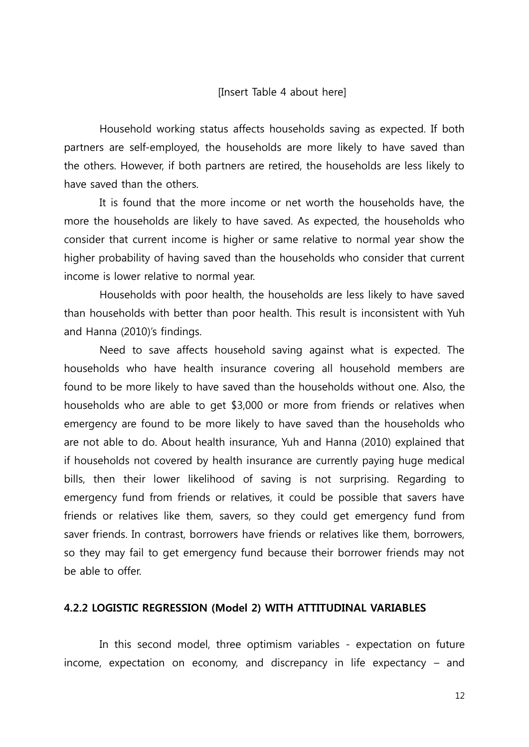#### [Insert Table 4 about here]

Household working status affects households saving as expected. If both partners are self-employed, the households are more likely to have saved than the others. However, if both partners are retired, the households are less likely to have saved than the others.

It is found that the more income or net worth the households have, the more the households are likely to have saved. As expected, the households who consider that current income is higher or same relative to normal year show the higher probability of having saved than the households who consider that current income is lower relative to normal year.

Households with poor health, the households are less likely to have saved than households with better than poor health. This result is inconsistent with Yuh and Hanna (2010)'s findings.

Need to save affects household saving against what is expected. The households who have health insurance covering all household members are found to be more likely to have saved than the households without one. Also, the households who are able to get \$3,000 or more from friends or relatives when emergency are found to be more likely to have saved than the households who are not able to do. About health insurance, Yuh and Hanna (2010) explained that if households not covered by health insurance are currently paying huge medical bills, then their lower likelihood of saving is not surprising. Regarding to emergency fund from friends or relatives, it could be possible that savers have friends or relatives like them, savers, so they could get emergency fund from saver friends. In contrast, borrowers have friends or relatives like them, borrowers, so they may fail to get emergency fund because their borrower friends may not be able to offer.

## **4.2.2 LOGISTIC REGRESSION (Model 2) WITH ATTITUDINAL VARIABLES**

In this second model, three optimism variables - expectation on future income, expectation on economy, and discrepancy in life expectancy – and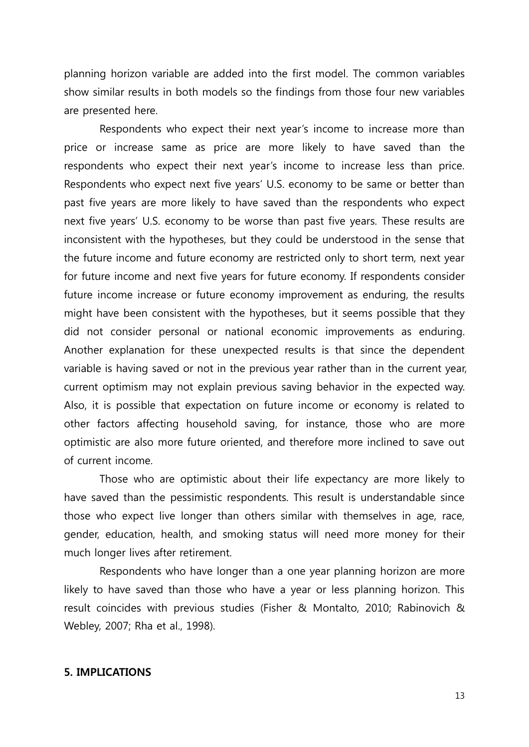planning horizon variable are added into the first model. The common variables show similar results in both models so the findings from those four new variables are presented here.

Respondents who expect their next year's income to increase more than price or increase same as price are more likely to have saved than the respondents who expect their next year's income to increase less than price. Respondents who expect next five years' U.S. economy to be same or better than past five years are more likely to have saved than the respondents who expect next five years' U.S. economy to be worse than past five years. These results are inconsistent with the hypotheses, but they could be understood in the sense that the future income and future economy are restricted only to short term, next year for future income and next five years for future economy. If respondents consider future income increase or future economy improvement as enduring, the results might have been consistent with the hypotheses, but it seems possible that they did not consider personal or national economic improvements as enduring. Another explanation for these unexpected results is that since the dependent variable is having saved or not in the previous year rather than in the current year, current optimism may not explain previous saving behavior in the expected way. Also, it is possible that expectation on future income or economy is related to other factors affecting household saving, for instance, those who are more optimistic are also more future oriented, and therefore more inclined to save out of current income.

Those who are optimistic about their life expectancy are more likely to have saved than the pessimistic respondents. This result is understandable since those who expect live longer than others similar with themselves in age, race, gender, education, health, and smoking status will need more money for their much longer lives after retirement.

Respondents who have longer than a one year planning horizon are more likely to have saved than those who have a year or less planning horizon. This result coincides with previous studies (Fisher & Montalto, 2010; Rabinovich & Webley, 2007; Rha et al., 1998).

### **5. IMPLICATIONS**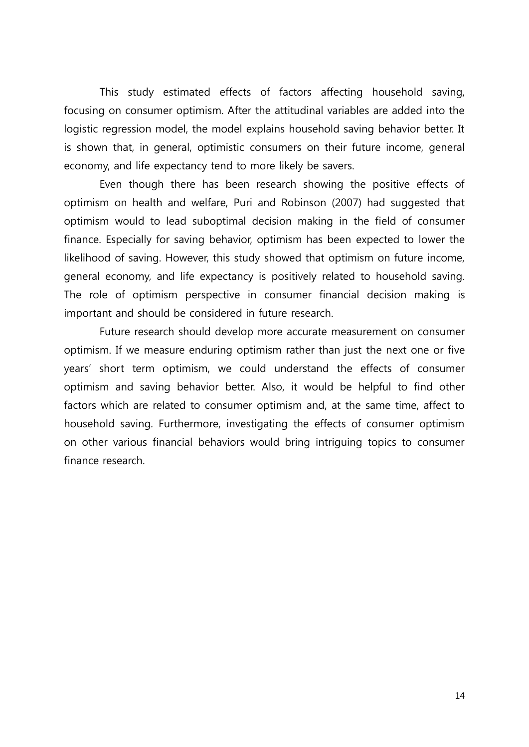This study estimated effects of factors affecting household saving, focusing on consumer optimism. After the attitudinal variables are added into the logistic regression model, the model explains household saving behavior better. It is shown that, in general, optimistic consumers on their future income, general economy, and life expectancy tend to more likely be savers.

Even though there has been research showing the positive effects of optimism on health and welfare, Puri and Robinson (2007) had suggested that optimism would to lead suboptimal decision making in the field of consumer finance. Especially for saving behavior, optimism has been expected to lower the likelihood of saving. However, this study showed that optimism on future income, general economy, and life expectancy is positively related to household saving. The role of optimism perspective in consumer financial decision making is important and should be considered in future research.

Future research should develop more accurate measurement on consumer optimism. If we measure enduring optimism rather than just the next one or five years' short term optimism, we could understand the effects of consumer optimism and saving behavior better. Also, it would be helpful to find other factors which are related to consumer optimism and, at the same time, affect to household saving. Furthermore, investigating the effects of consumer optimism on other various financial behaviors would bring intriguing topics to consumer finance research.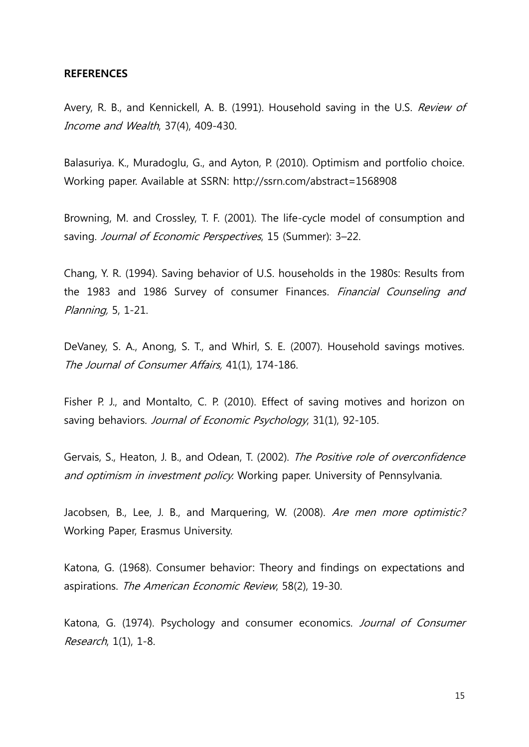#### **REFERENCES**

Avery, R. B., and Kennickell, A. B. (1991). Household saving in the U.S. Review of Income and Wealth, 37(4), 409-430.

Balasuriya. K., Muradoglu, G., and Ayton, P. (2010). Optimism and portfolio choice. Working paper. Available at SSRN: http://ssrn.com/abstract=1568908

Browning, M. and Crossley, T. F. (2001). The life-cycle model of consumption and saving. Journal of Economic Perspectives, 15 (Summer): 3-22.

Chang, Y. R. (1994). Saving behavior of U.S. households in the 1980s: Results from the 1983 and 1986 Survey of consumer Finances. Financial Counseling and Planning, 5, 1-21.

DeVaney, S. A., Anong, S. T., and Whirl, S. E. (2007). Household savings motives. The Journal of Consumer Affairs, 41(1), 174-186.

Fisher P. J., and Montalto, C. P. (2010). Effect of saving motives and horizon on saving behaviors. Journal of Economic Psychology, 31(1), 92-105.

Gervais, S., Heaton, J. B., and Odean, T. (2002). The Positive role of overconfidence and optimism in investment policy. Working paper. University of Pennsylvania.

Jacobsen, B., Lee, J. B., and Marquering, W. (2008). Are men more optimistic? Working Paper, Erasmus University.

Katona, G. (1968). Consumer behavior: Theory and findings on expectations and aspirations. The American Economic Review, 58(2), 19-30.

Katona, G. (1974). Psychology and consumer economics. Journal of Consumer Research, 1(1), 1-8.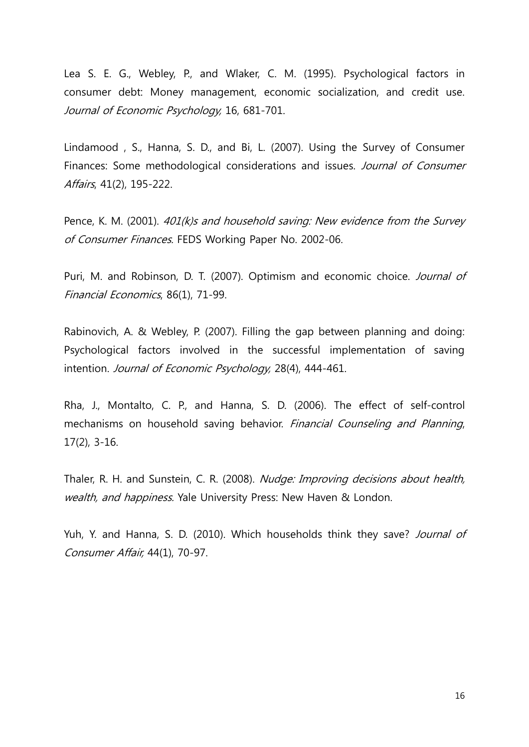Lea S. E. G., Webley, P., and Wlaker, C. M. (1995). Psychological factors in consumer debt: Money management, economic socialization, and credit use. Journal of Economic Psychology, 16, 681-701.

Lindamood , S., Hanna, S. D., and Bi, L. (2007). Using the Survey of Consumer Finances: Some methodological considerations and issues. Journal of Consumer Affairs, 41(2), 195-222.

Pence, K. M. (2001). 401(k)s and household saving: New evidence from the Survey of Consumer Finances. FEDS Working Paper No. 2002-06.

Puri, M. and Robinson, D. T. (2007). Optimism and economic choice. Journal of Financial Economics, 86(1), 71-99.

Rabinovich, A. & Webley, P. (2007). Filling the gap between planning and doing: Psychological factors involved in the successful implementation of saving intention. Journal of Economic Psychology, 28(4), 444-461.

Rha, J., Montalto, C. P., and Hanna, S. D. (2006). The effect of self-control mechanisms on household saving behavior. Financial Counseling and Planning, 17(2), 3-16.

Thaler, R. H. and Sunstein, C. R. (2008). Nudge: Improving decisions about health, wealth, and happiness. Yale University Press: New Haven & London.

Yuh, Y. and Hanna, S. D. (2010). Which households think they save? Journal of Consumer Affair, 44(1), 70-97.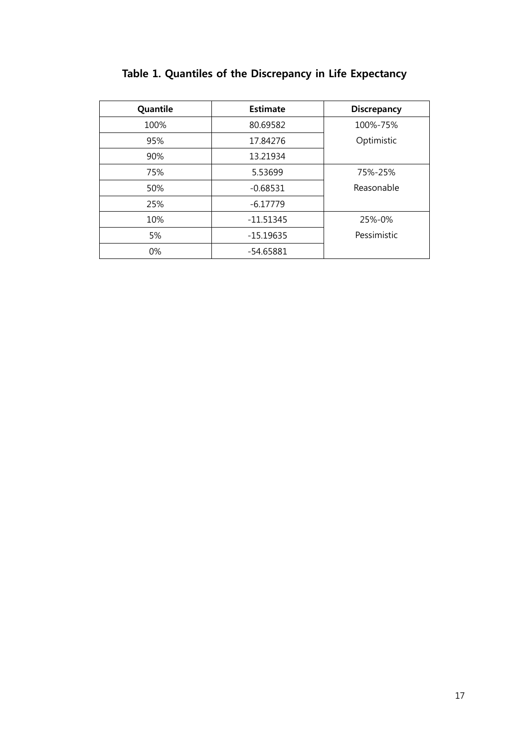| Quantile | <b>Estimate</b> | <b>Discrepancy</b> |
|----------|-----------------|--------------------|
| 100%     | 80.69582        | 100%-75%           |
| 95%      | 17.84276        | Optimistic         |
| 90%      | 13.21934        |                    |
| 75%      | 5.53699         | 75%-25%            |
| 50%      | $-0.68531$      | Reasonable         |
| 25%      | $-6.17779$      |                    |
| 10%      | $-11.51345$     | 25%-0%             |
| 5%       | $-15.19635$     | Pessimistic        |
| 0%       | $-54.65881$     |                    |

# **Table 1. Quantiles of the Discrepancy in Life Expectancy**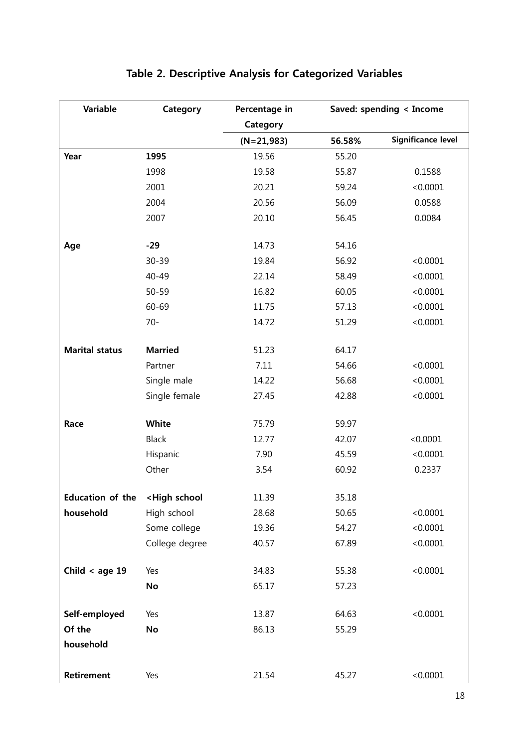| <b>Variable</b>         | Category                                                            | Percentage in | Saved: spending < Income |                           |
|-------------------------|---------------------------------------------------------------------|---------------|--------------------------|---------------------------|
|                         |                                                                     | Category      |                          |                           |
|                         |                                                                     | $(N=21,983)$  | 56.58%                   | <b>Significance level</b> |
| Year                    | 1995                                                                | 19.56         | 55.20                    |                           |
|                         | 1998                                                                | 19.58         | 55.87                    | 0.1588                    |
|                         | 2001                                                                | 20.21         | 59.24                    | < 0.0001                  |
|                         | 2004                                                                | 20.56         | 56.09                    | 0.0588                    |
|                         | 2007                                                                | 20.10         | 56.45                    | 0.0084                    |
| Age                     | $-29$                                                               | 14.73         | 54.16                    |                           |
|                         | 30-39                                                               | 19.84         | 56.92                    | < 0.0001                  |
|                         | 40-49                                                               | 22.14         | 58.49                    | < 0.0001                  |
|                         | $50 - 59$                                                           | 16.82         | 60.05                    | < 0.0001                  |
|                         | 60-69                                                               | 11.75         | 57.13                    | < 0.0001                  |
|                         | $70 -$                                                              | 14.72         | 51.29                    | < 0.0001                  |
| <b>Marital status</b>   | <b>Married</b>                                                      | 51.23         | 64.17                    |                           |
|                         | Partner                                                             | 7.11          | 54.66                    | < 0.0001                  |
|                         | Single male                                                         | 14.22         | 56.68                    | < 0.0001                  |
|                         | Single female                                                       | 27.45         | 42.88                    | < 0.0001                  |
| Race                    | White                                                               | 75.79         | 59.97                    |                           |
|                         | Black                                                               | 12.77         | 42.07                    | < 0.0001                  |
|                         | Hispanic                                                            | 7.90          | 45.59                    | < 0.0001                  |
|                         | Other                                                               | 3.54          | 60.92                    | 0.2337                    |
| <b>Education of the</b> | <high school<="" td=""><td>11.39</td><td>35.18</td><td></td></high> | 11.39         | 35.18                    |                           |
| household               | High school                                                         | 28.68         | 50.65                    | < 0.0001                  |
|                         | Some college                                                        | 19.36         | 54.27                    | < 0.0001                  |
|                         | College degree                                                      | 40.57         | 67.89                    | < 0.0001                  |
| Child < age $19$        | Yes                                                                 | 34.83         | 55.38                    | < 0.0001                  |
|                         | No                                                                  | 65.17         | 57.23                    |                           |
| Self-employed           | Yes                                                                 | 13.87         | 64.63                    | < 0.0001                  |
| Of the                  | No                                                                  | 86.13         | 55.29                    |                           |
| household               |                                                                     |               |                          |                           |
| Retirement              | Yes                                                                 | 21.54         | 45.27                    | < 0.0001                  |

# **Table 2. Descriptive Analysis for Categorized Variables**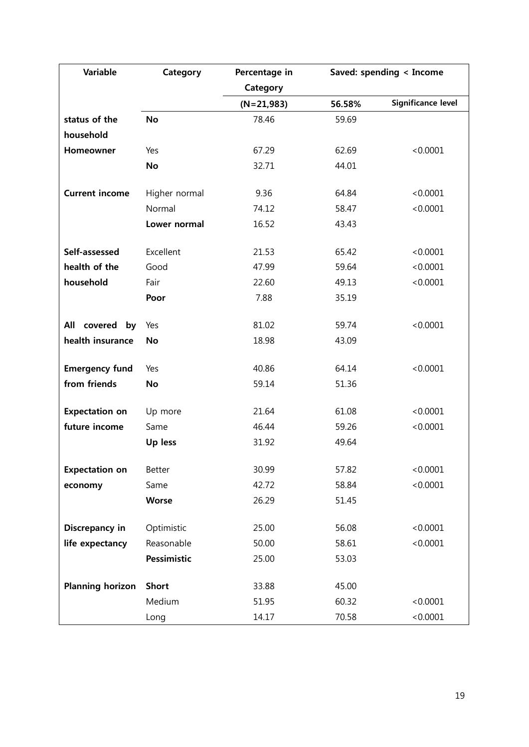| <b>Variable</b>         | Category      | Percentage in | Saved: spending < Income |                    |
|-------------------------|---------------|---------------|--------------------------|--------------------|
|                         |               | Category      |                          |                    |
|                         |               | $(N=21,983)$  | 56.58%                   | Significance level |
| status of the           | <b>No</b>     | 78.46         | 59.69                    |                    |
| household               |               |               |                          |                    |
| Homeowner               | Yes           | 67.29         | 62.69                    | < 0.0001           |
|                         | <b>No</b>     | 32.71         | 44.01                    |                    |
| <b>Current income</b>   | Higher normal | 9.36          | 64.84                    | < 0.0001           |
|                         | Normal        | 74.12         | 58.47                    | < 0.0001           |
|                         | Lower normal  | 16.52         | 43.43                    |                    |
| Self-assessed           | Excellent     | 21.53         | 65.42                    | < 0.0001           |
| health of the           | Good          | 47.99         | 59.64                    | < 0.0001           |
| household               | Fair          | 22.60         | 49.13                    | < 0.0001           |
|                         | Poor          | 7.88          | 35.19                    |                    |
| All covered<br>by       | Yes           | 81.02         | 59.74                    | < 0.0001           |
| health insurance        | <b>No</b>     | 18.98         | 43.09                    |                    |
| <b>Emergency fund</b>   | Yes           | 40.86         | 64.14                    | < 0.0001           |
| from friends            | No            | 59.14         | 51.36                    |                    |
| <b>Expectation on</b>   | Up more       | 21.64         | 61.08                    | < 0.0001           |
| future income           | Same          | 46.44         | 59.26                    | < 0.0001           |
|                         | Up less       | 31.92         | 49.64                    |                    |
| <b>Expectation on</b>   | <b>Better</b> | 30.99         | 57.82                    | < 0.0001           |
| economy                 | Same          | 42.72         | 58.84                    | < 0.0001           |
|                         | <b>Worse</b>  | 26.29         | 51.45                    |                    |
| Discrepancy in          | Optimistic    | 25.00         | 56.08                    | < 0.0001           |
| life expectancy         | Reasonable    | 50.00         | 58.61                    | < 0.0001           |
|                         | Pessimistic   | 25.00         | 53.03                    |                    |
| <b>Planning horizon</b> | <b>Short</b>  | 33.88         | 45.00                    |                    |
|                         | Medium        | 51.95         | 60.32                    | < 0.0001           |
|                         | Long          | 14.17         | 70.58                    | < 0.0001           |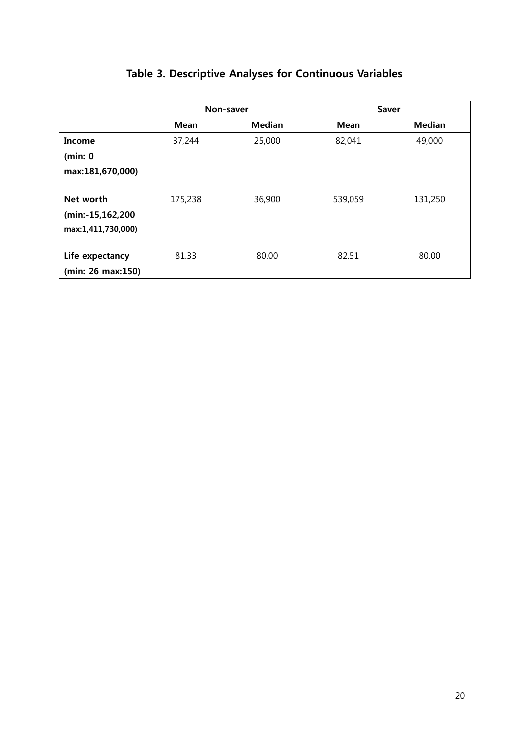|                                                     | Non-saver   |               |             | Saver         |
|-----------------------------------------------------|-------------|---------------|-------------|---------------|
|                                                     | <b>Mean</b> | <b>Median</b> | <b>Mean</b> | <b>Median</b> |
| Income                                              | 37,244      | 25,000        | 82,041      | 49,000        |
| (min: 0                                             |             |               |             |               |
| max:181,670,000)                                    |             |               |             |               |
| Net worth<br>(min:-15,162,200<br>max:1,411,730,000) | 175,238     | 36,900        | 539,059     | 131,250       |
| Life expectancy<br>(min: 26 max:150)                | 81.33       | 80.00         | 82.51       | 80.00         |

# **Table 3. Descriptive Analyses for Continuous Variables**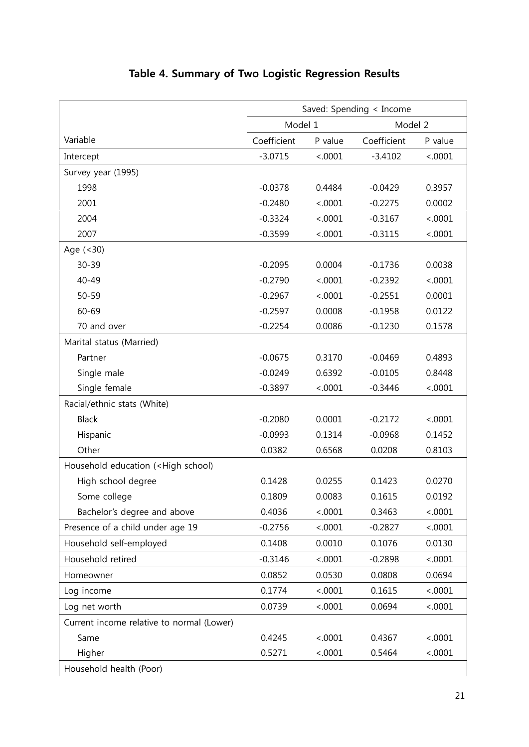|                                                                                           | Saved: Spending < Income |         |             |         |
|-------------------------------------------------------------------------------------------|--------------------------|---------|-------------|---------|
|                                                                                           | Model 1                  |         | Model 2     |         |
| Variable                                                                                  | Coefficient              | P value | Coefficient | P value |
| Intercept                                                                                 | $-3.0715$                | < .0001 | $-3.4102$   | < .0001 |
| Survey year (1995)                                                                        |                          |         |             |         |
| 1998                                                                                      | $-0.0378$                | 0.4484  | $-0.0429$   | 0.3957  |
| 2001                                                                                      | $-0.2480$                | < .0001 | $-0.2275$   | 0.0002  |
| 2004                                                                                      | $-0.3324$                | < .0001 | $-0.3167$   | < .0001 |
| 2007                                                                                      | $-0.3599$                | < .0001 | $-0.3115$   | < .0001 |
| Age $(< 30)$                                                                              |                          |         |             |         |
| 30-39                                                                                     | $-0.2095$                | 0.0004  | $-0.1736$   | 0.0038  |
| 40-49                                                                                     | $-0.2790$                | < .0001 | $-0.2392$   | < .0001 |
| $50 - 59$                                                                                 | $-0.2967$                | < .0001 | $-0.2551$   | 0.0001  |
| 60-69                                                                                     | $-0.2597$                | 0.0008  | $-0.1958$   | 0.0122  |
| 70 and over                                                                               | $-0.2254$                | 0.0086  | $-0.1230$   | 0.1578  |
| Marital status (Married)                                                                  |                          |         |             |         |
| Partner                                                                                   | $-0.0675$                | 0.3170  | $-0.0469$   | 0.4893  |
| Single male                                                                               | $-0.0249$                | 0.6392  | $-0.0105$   | 0.8448  |
| Single female                                                                             | $-0.3897$                | < .0001 | $-0.3446$   | < .0001 |
| Racial/ethnic stats (White)                                                               |                          |         |             |         |
| <b>Black</b>                                                                              | $-0.2080$                | 0.0001  | $-0.2172$   | < .0001 |
| Hispanic                                                                                  | $-0.0993$                | 0.1314  | $-0.0968$   | 0.1452  |
| Other                                                                                     | 0.0382                   | 0.6568  | 0.0208      | 0.8103  |
| Household education ( <high school)<="" td=""><td></td><td></td><td></td><td></td></high> |                          |         |             |         |
| High school degree                                                                        | 0.1428                   | 0.0255  | 0.1423      | 0.0270  |
| Some college                                                                              | 0.1809                   | 0.0083  | 0.1615      | 0.0192  |
| Bachelor's degree and above                                                               | 0.4036                   | < .0001 | 0.3463      | < .0001 |
| Presence of a child under age 19                                                          | $-0.2756$                | < .0001 | $-0.2827$   | < .0001 |
| Household self-employed                                                                   | 0.1408                   | 0.0010  | 0.1076      | 0.0130  |
| Household retired                                                                         | $-0.3146$                | < .0001 | $-0.2898$   | < .0001 |
| Homeowner                                                                                 | 0.0852                   | 0.0530  | 0.0808      | 0.0694  |
| Log income                                                                                | 0.1774                   | < .0001 | 0.1615      | < .0001 |
| Log net worth                                                                             | 0.0739                   | < .0001 | 0.0694      | < .0001 |
| Current income relative to normal (Lower)                                                 |                          |         |             |         |
| Same                                                                                      | 0.4245                   | < .0001 | 0.4367      | < .0001 |
| Higher                                                                                    | 0.5271                   | < .0001 | 0.5464      | < .0001 |
| Household health (Poor)                                                                   |                          |         |             |         |

# **Table 4. Summary of Two Logistic Regression Results**